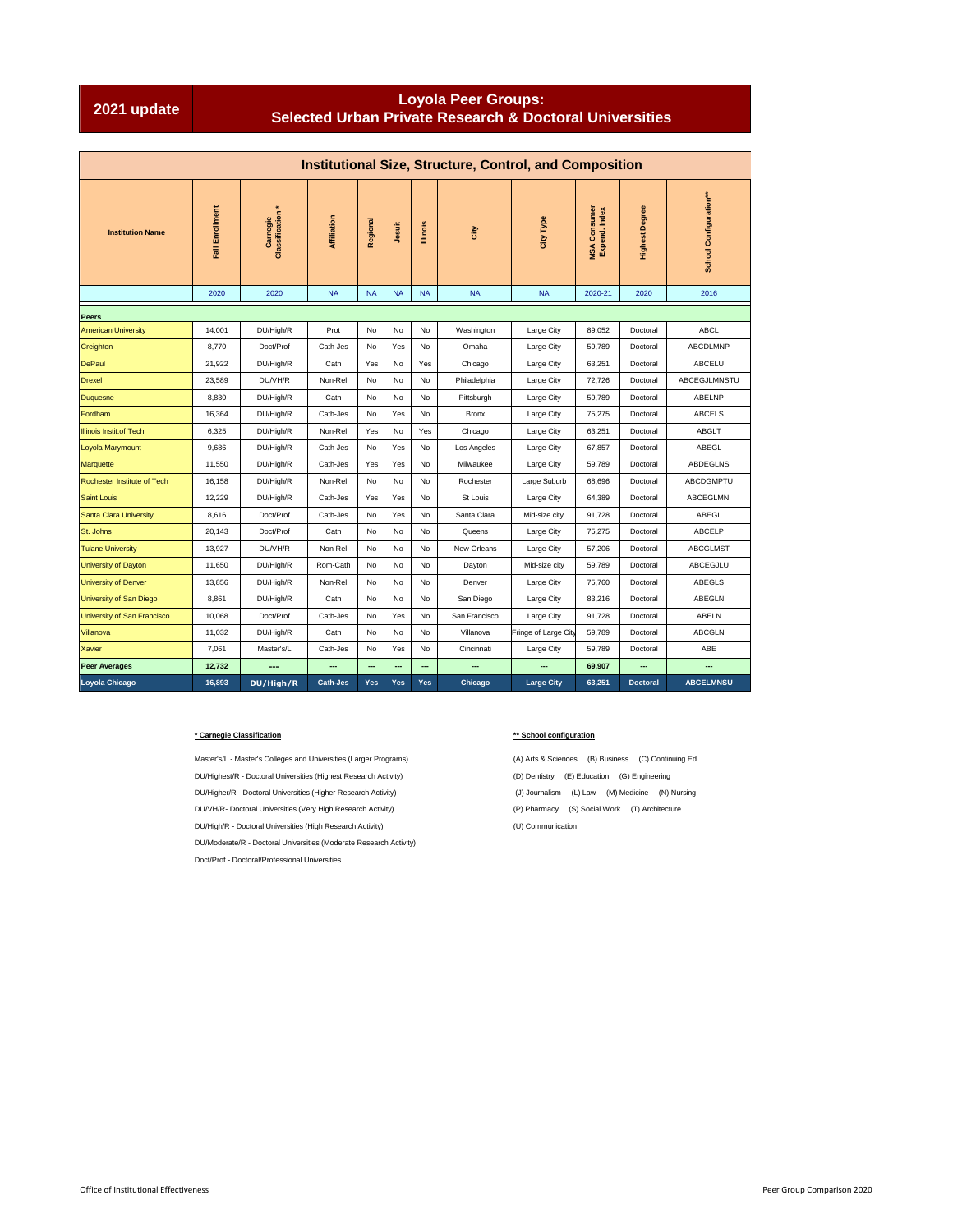## **Loyola Peer Groups: Selected Urban Private Research & Doctoral Universities**

|                             |                 |                              |                 |                    |           |                 | <b>Institutional Size, Structure, Control, and Composition</b> |                      |                               |                       |                        |  |
|-----------------------------|-----------------|------------------------------|-----------------|--------------------|-----------|-----------------|----------------------------------------------------------------|----------------------|-------------------------------|-----------------------|------------------------|--|
| <b>Institution Name</b>     | Fall Enrollment | Carnegie<br>Classification * | Affiliation     | Regional<br>Jesuit |           | <b>Illinois</b> | City                                                           | City Type            | MSA Consumer<br>Expend. Index | <b>Highest Degree</b> | School Configuration** |  |
|                             | 2020            | 2020                         | <b>NA</b>       | <b>NA</b>          | <b>NA</b> | <b>NA</b>       | <b>NA</b>                                                      | <b>NA</b>            | 2020-21                       | 2020                  | 2016                   |  |
| Peers                       |                 |                              |                 |                    |           |                 |                                                                |                      |                               |                       |                        |  |
| <b>American University</b>  | 14,001          | DU/High/R                    | Prot            | No                 | No        | No              | Washington                                                     | Large City           | 89,052                        | Doctoral              | <b>ABCL</b>            |  |
| Creighton                   | 8,770           | Doct/Prof                    | Cath-Jes        | No                 | Yes       | No              | Omaha                                                          | Large City           | 59,789                        | Doctoral              | ABCDLMNP               |  |
| <b>DePaul</b>               | 21,922          | DU/High/R                    | Cath            | Yes                | No        | Yes             | Chicago                                                        | Large City           | 63,251                        | Doctoral              | <b>ABCELU</b>          |  |
| <b>Drexel</b>               | 23,589          | DU/VH/R                      | Non-Rel         | No                 | No        | No              | Philadelphia                                                   | Large City           | 72,726                        | Doctoral              | ABCEGJLMNSTU           |  |
| <b>Duquesne</b>             | 8,830           | DU/High/R                    | Cath            | No                 | No        | No              | Pittsburgh                                                     | Large City           | 59,789                        | Doctoral              | ABELNP                 |  |
| Fordham                     | 16,364          | DU/High/R                    | Cath-Jes        | No                 | Yes       | No              | <b>Bronx</b>                                                   | Large City           | 75,275                        | Doctoral              | <b>ABCELS</b>          |  |
| Illinois Instit.of Tech.    | 6,325           | DU/High/R                    | Non-Rel         | Yes                | No        | Yes             | Chicago                                                        | Large City           | 63,251                        | Doctoral              | ABGLT                  |  |
| Loyola Marymount            | 9,686           | DU/High/R                    | Cath-Jes        | No                 | Yes       | No              | Los Angeles                                                    | Large City           | 67,857                        | Doctoral              | ABEGL                  |  |
| Marquette                   | 11,550          | DU/High/R                    | Cath-Jes        | Yes                | Yes       | No              | Milwaukee                                                      | Large City           | 59.789                        | Doctoral              | ABDEGLNS               |  |
| Rochester Institute of Tech | 16,158          | DU/High/R                    | Non-Rel         | <b>No</b>          | No        | No              | Rochester                                                      | Large Suburb         | 68,696                        | Doctoral              | <b>ABCDGMPTU</b>       |  |
| <b>Saint Louis</b>          | 12,229          | DU/High/R                    | Cath-Jes        | Yes                | Yes       | No              | St Louis                                                       | Large City           | 64,389                        | Doctoral              | ABCEGLMN               |  |
| Santa Clara University      | 8,616           | Doct/Prof                    | Cath-Jes        | No                 | Yes       | No              | Santa Clara                                                    | Mid-size city        | 91,728                        | Doctoral              | ABEGL                  |  |
| St. Johns                   | 20.143          | Doct/Prof                    | Cath            | No                 | No        | No              | Queens                                                         | Large City           | 75,275                        | Doctoral              | <b>ABCELP</b>          |  |
| <b>Tulane University</b>    | 13,927          | DU/VH/R                      | Non-Rel         | <b>No</b>          | No        | No              | New Orleans                                                    | Large City           | 57,206                        | Doctoral              | <b>ABCGLMST</b>        |  |
| University of Dayton        | 11,650          | DU/High/R                    | Rom-Cath        | No                 | No        | No              | Dayton                                                         | Mid-size city        | 59,789                        | Doctoral              | ABCEGJLU               |  |
| University of Denver        | 13.856          | DU/High/R                    | Non-Rel         | No                 | No        | No              | Denver                                                         | Large City           | 75.760                        | Doctoral              | ABEGLS                 |  |
| University of San Diego     | 8.861           | DU/High/R                    | Cath            | No                 | No        | No              | San Diego                                                      | Large City           | 83.216                        | Doctoral              | ABEGLN                 |  |
| University of San Francisco | 10,068          | Doct/Prof                    | Cath-Jes        | <b>No</b>          | Yes       | No              | San Francisco                                                  | Large City           | 91,728                        | Doctoral              | ABELN                  |  |
| Villanova                   | 11,032          | DU/High/R                    | Cath            | No                 | No        | No              | Villanova                                                      | Fringe of Large City | 59,789                        | Doctoral              | <b>ABCGLN</b>          |  |
| <b>Xavier</b>               | 7.061           | Master's/L                   | Cath-Jes        | No                 | Yes       | No              | Cincinnati                                                     | Large City           | 59.789                        | Doctoral              | ABE                    |  |
| <b>Peer Averages</b>        | 12,732          |                              |                 |                    |           |                 |                                                                |                      | 69,907                        |                       |                        |  |
| Loyola Chicago              | 16,893          | DU/High/R                    | <b>Cath-Jes</b> | Yes                | Yes       | Yes             | Chicago                                                        | <b>Large City</b>    | 63,251                        | <b>Doctoral</b>       | <b>ABCELMNSU</b>       |  |

## **\* Carnegie Classification \*\* School configuration**

DU/Highest/R - Doctoral Universities (Highest Research Activity) (D) Dentistry (E) Education (G) Engineering DU/Higher/R - Doctoral Universities (Higher Research Activity) (J) Journalism (L) Law (M) Medicine (N) Nursing DU/VH/R- Doctoral Universities (Very High Research Activity) (P) Pharmacy (S) Social Work (T) Architecture DU/High/R - Doctoral Universities (High Research Activity) (U) Communication DU/Moderate/R - Doctoral Universities (Moderate Research Activity) Doct/Prof - Doctoral/Professional Universities

Master's/L - Master's Colleges and Universities (Larger Programs) (A) Arts & Sciences (B) Business (C) Continuing Ed.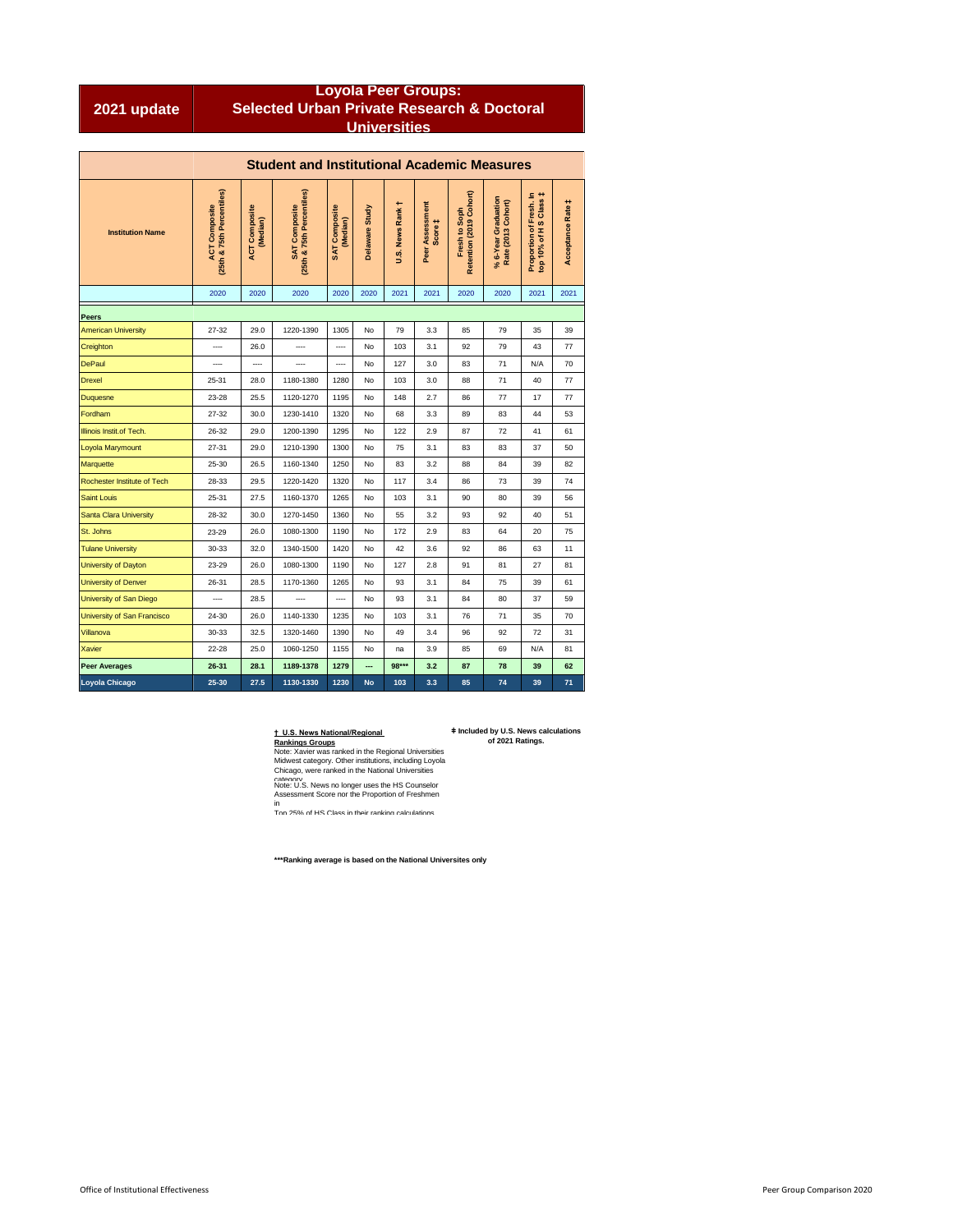|             | <b>Loyola Peer Groups:</b>                            |
|-------------|-------------------------------------------------------|
| 2021 update | <b>Selected Urban Private Research &amp; Doctoral</b> |
|             | <b>Universities</b>                                   |

|                             | <b>Student and Institutional Academic Measures</b> |                                  |                                                   |                                  |                |                  |                            |                                          |                                           |                                                   |                   |  |  |  |  |
|-----------------------------|----------------------------------------------------|----------------------------------|---------------------------------------------------|----------------------------------|----------------|------------------|----------------------------|------------------------------------------|-------------------------------------------|---------------------------------------------------|-------------------|--|--|--|--|
| <b>Institution Name</b>     | (25th & 75th Percentiles)<br><b>ACT Composite</b>  | <b>ACT Composite</b><br>(Median) | (25th & 75th Percentiles)<br><b>SAT Composite</b> | <b>SAT Composite</b><br>(Median) | Delaware Study | U.S. News Rank t | Peer Assessment<br>Score ‡ | Retention (2019 Cohort)<br>Fresh to Soph | % 6-Year Graduation<br>Rate (2013 Cohort) | Proportion of Fresh. In<br>top 10% of H S Class ‡ | Acceptance Rate # |  |  |  |  |
|                             | 2020                                               | 2020                             | 2020                                              | 2020                             | 2020           | 2021             | 2021                       | 2020                                     | 2020                                      | 2021                                              | 2021              |  |  |  |  |
| <b>Peers</b>                |                                                    |                                  |                                                   |                                  |                |                  |                            |                                          |                                           |                                                   |                   |  |  |  |  |
| <b>American University</b>  | $27 - 32$                                          | 29.0                             | 1220-1390                                         | 1305                             | No             | 79               | 3.3                        | 85                                       | 79                                        | 35                                                | 39                |  |  |  |  |
| Creighton                   |                                                    | 26.0                             |                                                   |                                  | No             | 103              | 3.1                        | 92                                       | 79                                        | 43                                                | 77                |  |  |  |  |
| <b>DePaul</b>               | $\cdots$                                           | ----                             |                                                   |                                  | No             | 127              | 3.0                        | 83                                       | 71                                        | N/A                                               | 70                |  |  |  |  |
| <b>Drexel</b>               | 25-31                                              | 28.0                             | 1180-1380                                         | 1280                             | No             | 103              | 3.0                        | 88                                       | 71                                        | 40                                                | 77                |  |  |  |  |
| <b>Duquesne</b>             | 23-28                                              | 25.5                             | 1120-1270                                         | 1195                             | No             | 148              | 2.7                        | 86                                       | 77                                        | 17                                                | 77                |  |  |  |  |
| Fordham                     | 27-32                                              | 30.0                             | 1230-1410                                         | 1320                             | No             | 68               | 3.3                        | 89                                       | 83                                        | 44                                                | 53                |  |  |  |  |
| Illinois Instit.of Tech.    | 26-32                                              | 29.0                             | 1200-1390                                         | 1295                             | No             | 122              | 2.9                        | 87                                       | 72                                        | 41                                                | 61                |  |  |  |  |
| Loyola Marymount            | 27-31                                              | 29.0                             | 1210-1390                                         | 1300                             | No             | 75               | 3.1                        | 83                                       | 83                                        | 37                                                | 50                |  |  |  |  |
| Marquette                   | 25-30                                              | 26.5                             | 1160-1340                                         | 1250                             | No             | 83               | 3.2                        | 88                                       | 84                                        | 39                                                | 82                |  |  |  |  |
| Rochester Institute of Tech | 28-33                                              | 29.5                             | 1220-1420                                         | 1320                             | No             | 117              | 3.4                        | 86                                       | 73                                        | 39                                                | 74                |  |  |  |  |
| <b>Saint Louis</b>          | 25-31                                              | 27.5                             | 1160-1370                                         | 1265                             | No             | 103              | 3.1                        | 90                                       | 80                                        | 39                                                | 56                |  |  |  |  |
| Santa Clara University      | 28-32                                              | 30.0                             | 1270-1450                                         | 1360                             | No             | 55               | 3.2                        | 93                                       | 92                                        | 40                                                | 51                |  |  |  |  |
| St. Johns                   | 23-29                                              | 26.0                             | 1080-1300                                         | 1190                             | No             | 172              | 2.9                        | 83                                       | 64                                        | 20                                                | 75                |  |  |  |  |
| <b>Tulane University</b>    | 30-33                                              | 32.0                             | 1340-1500                                         | 1420                             | No             | 42               | 3.6                        | 92                                       | 86                                        | 63                                                | 11                |  |  |  |  |
| University of Dayton        | 23-29                                              | 26.0                             | 1080-1300                                         | 1190                             | No             | 127              | 2.8                        | 91                                       | 81                                        | 27                                                | 81                |  |  |  |  |
| <b>University of Denver</b> | 26-31                                              | 28.5                             | 1170-1360                                         | 1265                             | No             | 93               | 3.1                        | 84                                       | 75                                        | 39                                                | 61                |  |  |  |  |
| University of San Diego     |                                                    | 28.5                             | ----                                              | ----                             | No             | 93               | 3.1                        | 84                                       | 80                                        | 37                                                | 59                |  |  |  |  |
| University of San Francisco | 24-30                                              | 26.0                             | 1140-1330                                         | 1235                             | No             | 103              | 3.1                        | 76                                       | 71                                        | 35                                                | 70                |  |  |  |  |
| Villanova                   | 30-33                                              | 32.5                             | 1320-1460                                         | 1390                             | No             | 49               | 3.4                        | 96                                       | 92                                        | 72                                                | 31                |  |  |  |  |
| <b>Xavier</b>               | $22 - 28$                                          | 25.0                             | 1060-1250                                         | 1155                             | No             | na               | 3.9                        | 85                                       | 69                                        | N/A                                               | 81                |  |  |  |  |
| <b>Peer Averages</b>        | 26-31                                              | 28.1                             | 1189-1378                                         | 1279                             | ---            | 98***            | 3.2                        | 87                                       | 78                                        | 39                                                | 62                |  |  |  |  |
| Loyola Chicago              | 25-30                                              | 27.5                             | 1130-1330                                         | 1230                             | <b>No</b>      | 103              | 3.3                        | 85                                       | 74                                        | 39                                                | 71                |  |  |  |  |

**ǂ Included by U.S. News calculations of 2021 Ratings.**

<u>† U.S. News National/Regional</u><br><u>Rankings Groups</u><br>Note: Xavier was ranked in the Regional Universities<br>Midwest category. Other institutions, including Loyola<br>Chicago, were ranked in the National Universities<br>ratienory.<br>Nas

in Top 25% of HS Class in their ranking calculations.

**\*\*\*Ranking average is based on the National Universites only**